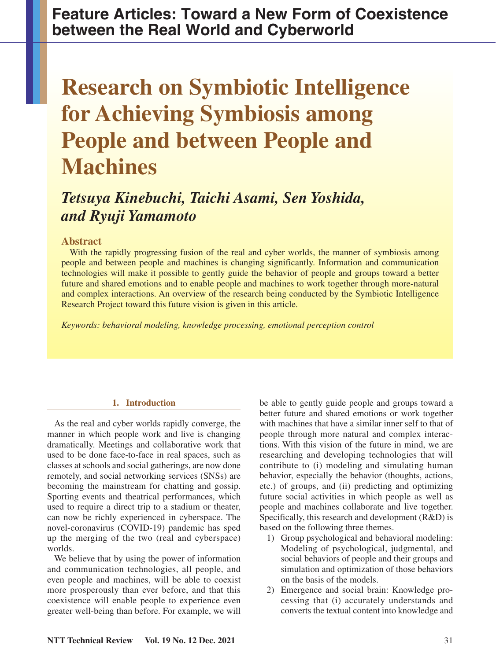**Feature Articles: Toward a New Form of Coexistence between the Real World and Cyberworld**

# **Research on Symbiotic Intelligence for Achieving Symbiosis among People and between People and Machines**

# *Tetsuya Kinebuchi, Taichi Asami, Sen Yoshida, and Ryuji Yamamoto*

# **Abstract**

With the rapidly progressing fusion of the real and cyber worlds, the manner of symbiosis among people and between people and machines is changing significantly. Information and communication technologies will make it possible to gently guide the behavior of people and groups toward a better future and shared emotions and to enable people and machines to work together through more-natural and complex interactions. An overview of the research being conducted by the Symbiotic Intelligence Research Project toward this future vision is given in this article.

*Keywords: behavioral modeling, knowledge processing, emotional perception control*

# **1. Introduction**

As the real and cyber worlds rapidly converge, the manner in which people work and live is changing dramatically. Meetings and collaborative work that used to be done face-to-face in real spaces, such as classes at schools and social gatherings, are now done remotely, and social networking services (SNSs) are becoming the mainstream for chatting and gossip. Sporting events and theatrical performances, which used to require a direct trip to a stadium or theater, can now be richly experienced in cyberspace. The novel-coronavirus (COVID-19) pandemic has sped up the merging of the two (real and cyberspace) worlds.

We believe that by using the power of information and communication technologies, all people, and even people and machines, will be able to coexist more prosperously than ever before, and that this coexistence will enable people to experience even greater well-being than before. For example, we will be able to gently guide people and groups toward a better future and shared emotions or work together with machines that have a similar inner self to that of people through more natural and complex interactions. With this vision of the future in mind, we are researching and developing technologies that will contribute to (i) modeling and simulating human behavior, especially the behavior (thoughts, actions, etc.) of groups, and (ii) predicting and optimizing future social activities in which people as well as people and machines collaborate and live together. Specifically, this research and development (R&D) is based on the following three themes.

- 1) Group psychological and behavioral modeling: Modeling of psychological, judgmental, and social behaviors of people and their groups and simulation and optimization of those behaviors on the basis of the models.
- 2) Emergence and social brain: Knowledge processing that (i) accurately understands and converts the textual content into knowledge and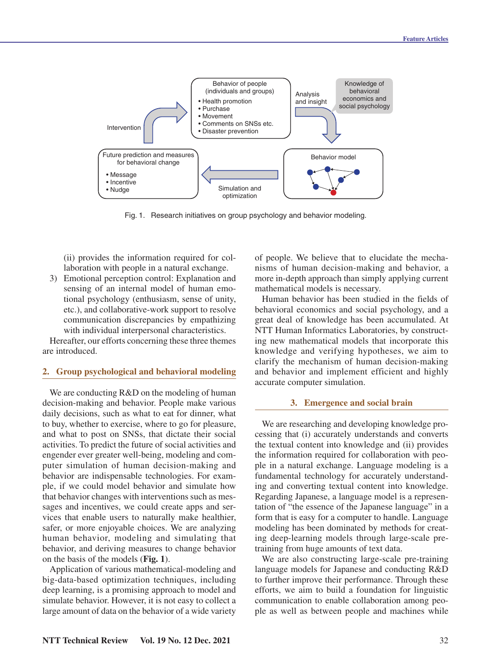

Fig. 1. Research initiatives on group psychology and behavior modeling.

(ii) provides the information required for collaboration with people in a natural exchange.

3) Emotional perception control: Explanation and sensing of an internal model of human emotional psychology (enthusiasm, sense of unity, etc.), and collaborative-work support to resolve communication discrepancies by empathizing with individual interpersonal characteristics.

Hereafter, our efforts concerning these three themes are introduced.

# **2. Group psychological and behavioral modeling**

We are conducting  $R&D$  on the modeling of human decision-making and behavior. People make various daily decisions, such as what to eat for dinner, what to buy, whether to exercise, where to go for pleasure, and what to post on SNSs, that dictate their social activities. To predict the future of social activities and engender ever greater well-being, modeling and computer simulation of human decision-making and behavior are indispensable technologies. For example, if we could model behavior and simulate how that behavior changes with interventions such as messages and incentives, we could create apps and services that enable users to naturally make healthier, safer, or more enjoyable choices. We are analyzing human behavior, modeling and simulating that behavior, and deriving measures to change behavior on the basis of the models (**Fig. 1**).

Application of various mathematical-modeling and big-data-based optimization techniques, including deep learning, is a promising approach to model and simulate behavior. However, it is not easy to collect a large amount of data on the behavior of a wide variety

of people. We believe that to elucidate the mechanisms of human decision-making and behavior, a more in-depth approach than simply applying current mathematical models is necessary.

Human behavior has been studied in the fields of behavioral economics and social psychology, and a great deal of knowledge has been accumulated. At NTT Human Informatics Laboratories, by constructing new mathematical models that incorporate this knowledge and verifying hypotheses, we aim to clarify the mechanism of human decision-making and behavior and implement efficient and highly accurate computer simulation.

#### **3. Emergence and social brain**

We are researching and developing knowledge processing that (i) accurately understands and converts the textual content into knowledge and (ii) provides the information required for collaboration with people in a natural exchange. Language modeling is a fundamental technology for accurately understanding and converting textual content into knowledge. Regarding Japanese, a language model is a representation of "the essence of the Japanese language" in a form that is easy for a computer to handle. Language modeling has been dominated by methods for creating deep-learning models through large-scale pretraining from huge amounts of text data.

We are also constructing large-scale pre-training language models for Japanese and conducting R&D to further improve their performance. Through these efforts, we aim to build a foundation for linguistic communication to enable collaboration among people as well as between people and machines while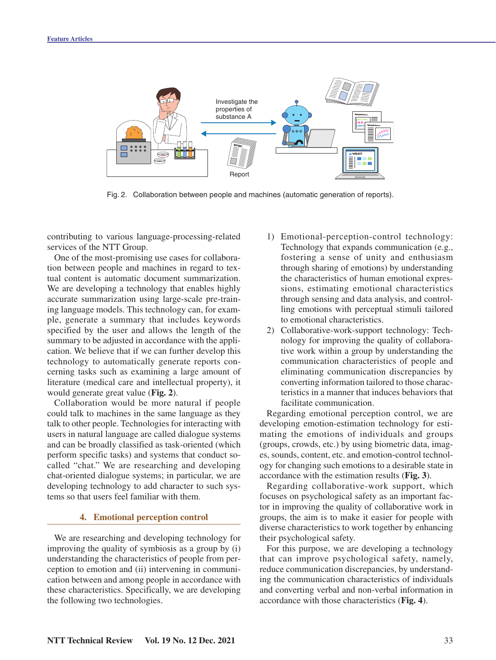

Fig. 2. Collaboration between people and machines (automatic generation of reports).

contributing to various language-processing-related services of the NTT Group.

One of the most-promising use cases for collaboration between people and machines in regard to textual content is automatic document summarization. We are developing a technology that enables highly accurate summarization using large-scale pre-training language models. This technology can, for example, generate a summary that includes keywords specified by the user and allows the length of the summary to be adjusted in accordance with the application. We believe that if we can further develop this technology to automatically generate reports concerning tasks such as examining a large amount of literature (medical care and intellectual property), it would generate great value (**Fig. 2**).

Collaboration would be more natural if people could talk to machines in the same language as they talk to other people. Technologies for interacting with users in natural language are called dialogue systems and can be broadly classified as task-oriented (which perform specific tasks) and systems that conduct socalled "chat." We are researching and developing chat-oriented dialogue systems; in particular, we are developing technology to add character to such systems so that users feel familiar with them.

### **4. Emotional perception control**

We are researching and developing technology for improving the quality of symbiosis as a group by (i) understanding the characteristics of people from perception to emotion and (ii) intervening in communication between and among people in accordance with these characteristics. Specifically, we are developing the following two technologies.

- 1) Emotional-perception-control technology: Technology that expands communication (e.g., fostering a sense of unity and enthusiasm through sharing of emotions) by understanding the characteristics of human emotional expressions, estimating emotional characteristics through sensing and data analysis, and controlling emotions with perceptual stimuli tailored to emotional characteristics.
- 2) Collaborative-work-support technology: Technology for improving the quality of collaborative work within a group by understanding the communication characteristics of people and eliminating communication discrepancies by converting information tailored to those characteristics in a manner that induces behaviors that facilitate communication.

Regarding emotional perception control, we are developing emotion-estimation technology for estimating the emotions of individuals and groups (groups, crowds, etc.) by using biometric data, images, sounds, content, etc. and emotion-control technology for changing such emotions to a desirable state in accordance with the estimation results (**Fig. 3**).

Regarding collaborative-work support, which focuses on psychological safety as an important factor in improving the quality of collaborative work in groups, the aim is to make it easier for people with diverse characteristics to work together by enhancing their psychological safety.

For this purpose, we are developing a technology that can improve psychological safety, namely, reduce communication discrepancies, by understanding the communication characteristics of individuals and converting verbal and non-verbal information in accordance with those characteristics (**Fig. 4**).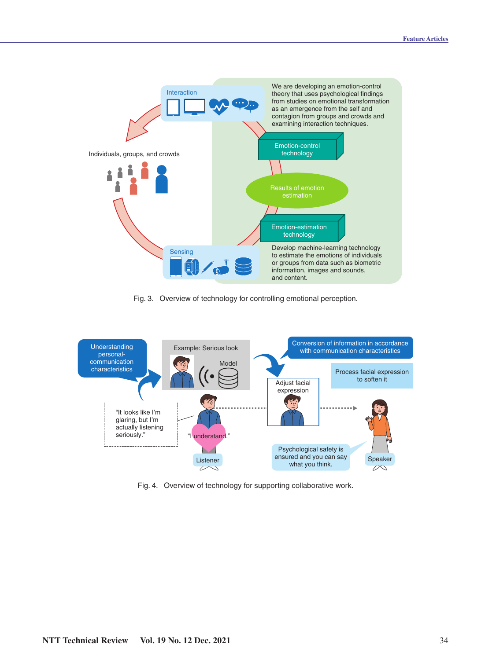

Fig. 3. Overview of technology for controlling emotional perception.



Fig. 4. Overview of technology for supporting collaborative work.